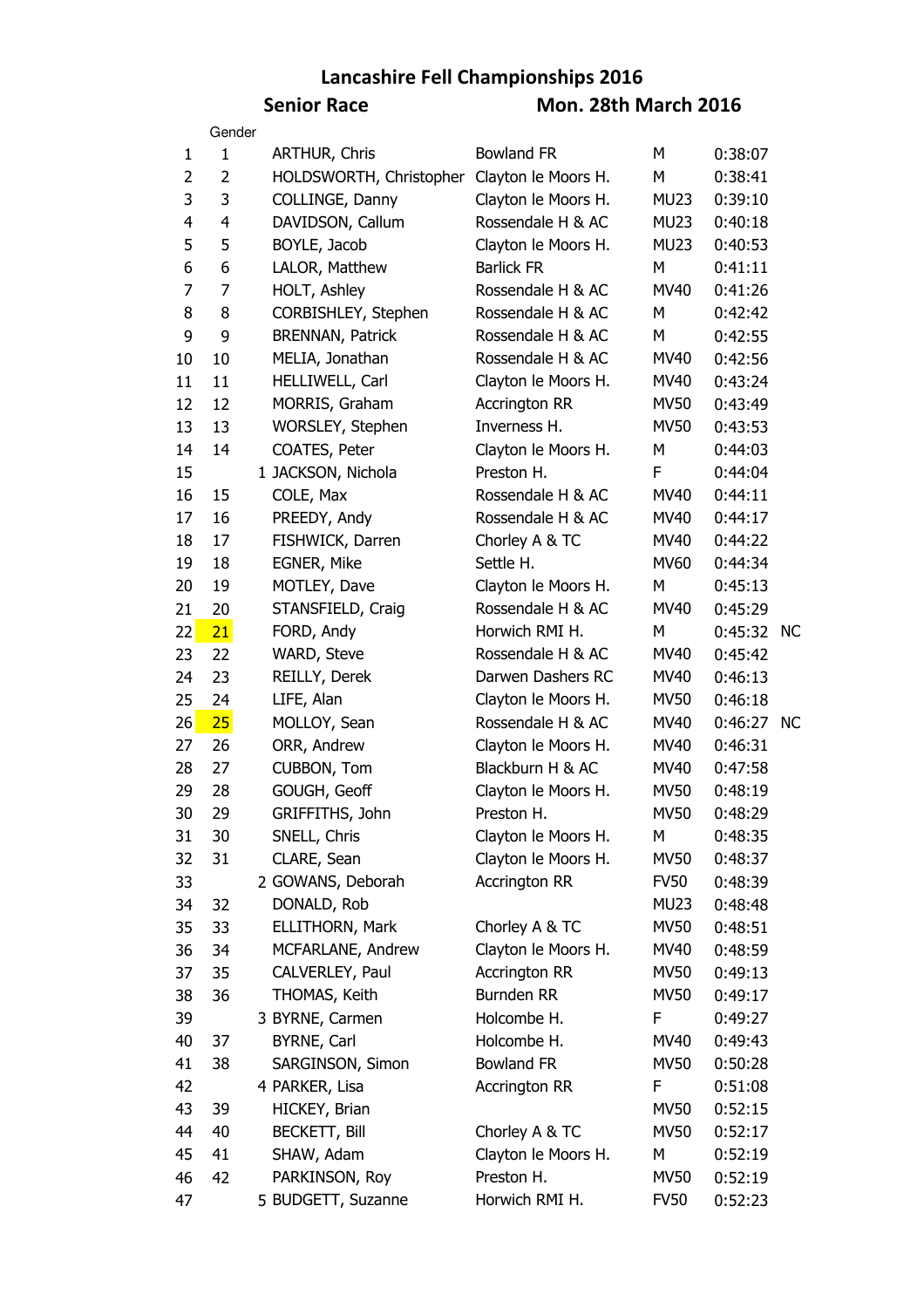## **Lancashire Fell Championships 2016 Senior Race Mon. 28th March 2016**

|                | Gender       |                         |                      |                  |            |           |
|----------------|--------------|-------------------------|----------------------|------------------|------------|-----------|
| 1              | $\mathbf{1}$ | <b>ARTHUR, Chris</b>    | <b>Bowland FR</b>    | M                | 0:38:07    |           |
| $\overline{2}$ | 2            | HOLDSWORTH, Christopher | Clayton le Moors H.  | M                | 0:38:41    |           |
| 3              | 3            | COLLINGE, Danny         | Clayton le Moors H.  | MU <sub>23</sub> | 0:39:10    |           |
| 4              | 4            | DAVIDSON, Callum        | Rossendale H & AC    | MU <sub>23</sub> | 0:40:18    |           |
| 5              | 5            | BOYLE, Jacob            | Clayton le Moors H.  | <b>MU23</b>      | 0:40:53    |           |
| 6              | 6            | LALOR, Matthew          | <b>Barlick FR</b>    | M                | 0:41:11    |           |
| $\overline{7}$ | 7            | HOLT, Ashley            | Rossendale H & AC    | <b>MV40</b>      | 0:41:26    |           |
| 8              | 8            | CORBISHLEY, Stephen     | Rossendale H & AC    | М                | 0:42:42    |           |
| 9              | 9            | <b>BRENNAN, Patrick</b> | Rossendale H & AC    | M                | 0:42:55    |           |
| 10             | 10           | MELIA, Jonathan         | Rossendale H & AC    | <b>MV40</b>      | 0:42:56    |           |
| 11             | 11           | HELLIWELL, Carl         | Clayton le Moors H.  | MV40             | 0:43:24    |           |
| 12             | 12           | MORRIS, Graham          | <b>Accrington RR</b> | <b>MV50</b>      | 0:43:49    |           |
| 13             | 13           | WORSLEY, Stephen        | Inverness H.         | <b>MV50</b>      | 0:43:53    |           |
| 14             | 14           | COATES, Peter           | Clayton le Moors H.  | М                | 0:44:03    |           |
| 15             |              | 1 JACKSON, Nichola      | Preston H.           | F                | 0:44:04    |           |
| 16             | 15           | COLE, Max               | Rossendale H & AC    | <b>MV40</b>      | 0:44:11    |           |
| 17             | 16           | PREEDY, Andy            | Rossendale H & AC    | <b>MV40</b>      | 0:44:17    |           |
| 18             | 17           | FISHWICK, Darren        | Chorley A & TC       | <b>MV40</b>      | 0:44:22    |           |
| 19             | 18           | EGNER, Mike             | Settle H.            | <b>MV60</b>      | 0:44:34    |           |
| 20             | 19           | MOTLEY, Dave            | Clayton le Moors H.  | M                | 0:45:13    |           |
| 21             | 20           | STANSFIELD, Craig       | Rossendale H & AC    | <b>MV40</b>      | 0:45:29    |           |
| 22             | 21           | FORD, Andy              | Horwich RMI H.       | M                | 0:45:32 NC |           |
| 23             | 22           | WARD, Steve             | Rossendale H & AC    | <b>MV40</b>      | 0:45:42    |           |
| 24             | 23           | REILLY, Derek           | Darwen Dashers RC    | <b>MV40</b>      | 0:46:13    |           |
| 25             | 24           | LIFE, Alan              | Clayton le Moors H.  | <b>MV50</b>      | 0:46:18    |           |
| 26             | 25           | MOLLOY, Sean            | Rossendale H & AC    | <b>MV40</b>      | 0:46:27    | <b>NC</b> |
| 27             | 26           | ORR, Andrew             | Clayton le Moors H.  | MV40             | 0:46:31    |           |
| 28             | 27           | CUBBON, Tom             | Blackburn H & AC     | <b>MV40</b>      | 0:47:58    |           |
| 29             | 28           | GOUGH, Geoff            | Clayton le Moors H.  | <b>MV50</b>      | 0:48:19    |           |
| 30             | 29           | GRIFFITHS, John         | Preston H.           | <b>MV50</b>      | 0:48:29    |           |
| 31             | 30           | SNELL, Chris            | Clayton le Moors H.  | М                | 0:48:35    |           |
| 32             | 31           | CLARE, Sean             | Clayton le Moors H.  | <b>MV50</b>      | 0:48:37    |           |
| 33             |              | 2 GOWANS, Deborah       | <b>Accrington RR</b> | <b>FV50</b>      | 0:48:39    |           |
| 34             | 32           | DONALD, Rob             |                      | <b>MU23</b>      | 0:48:48    |           |
| 35             | 33           | ELLITHORN, Mark         | Chorley A & TC       | <b>MV50</b>      | 0:48:51    |           |
| 36             | 34           | MCFARLANE, Andrew       | Clayton le Moors H.  | MV40             | 0:48:59    |           |
| 37             | 35           | CALVERLEY, Paul         | <b>Accrington RR</b> | <b>MV50</b>      | 0:49:13    |           |
| 38             | 36           | THOMAS, Keith           | Burnden RR           | <b>MV50</b>      | 0:49:17    |           |
| 39             |              | 3 BYRNE, Carmen         | Holcombe H.          | F                | 0:49:27    |           |
| 40             | 37           | <b>BYRNE, Carl</b>      | Holcombe H.          | <b>MV40</b>      | 0:49:43    |           |
| 41             | 38           | SARGINSON, Simon        | <b>Bowland FR</b>    | <b>MV50</b>      | 0:50:28    |           |
| 42             |              | 4 PARKER, Lisa          | <b>Accrington RR</b> | F                | 0:51:08    |           |
|                | 39           | HICKEY, Brian           |                      | <b>MV50</b>      |            |           |
| 43             | 40           | <b>BECKETT, Bill</b>    | Chorley A & TC       | <b>MV50</b>      | 0:52:15    |           |
| 44             | 41           | SHAW, Adam              | Clayton le Moors H.  | М                | 0:52:17    |           |
| 45             | 42           | PARKINSON, Roy          | Preston H.           | <b>MV50</b>      | 0:52:19    |           |
| 46             |              |                         | Horwich RMI H.       | <b>FV50</b>      | 0:52:19    |           |
| 47             |              | 5 BUDGETT, Suzanne      |                      |                  | 0:52:23    |           |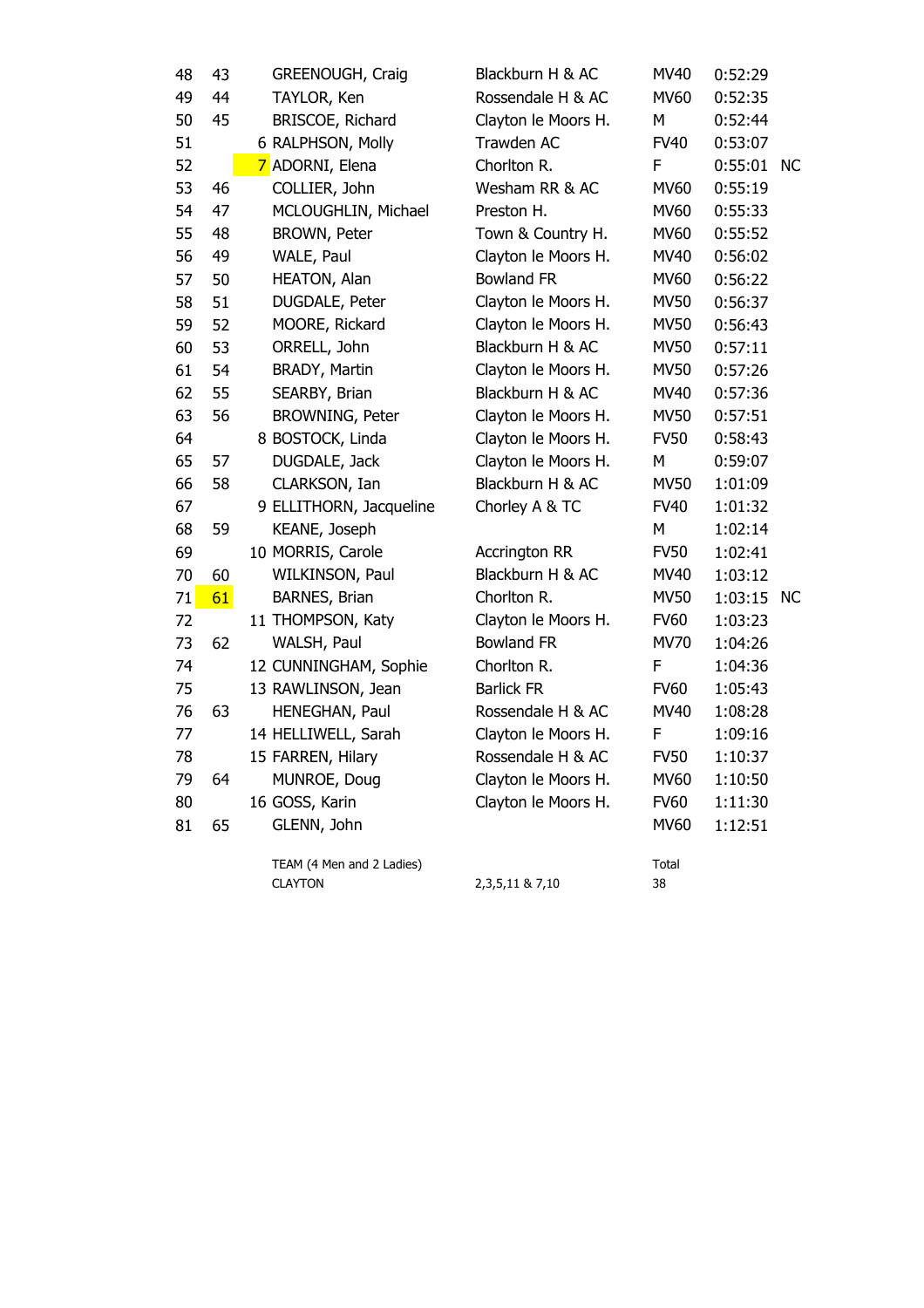| 48 | 43 | GREENOUGH, Craig          | Blackburn H & AC     | MV40        | 0:52:29    |     |
|----|----|---------------------------|----------------------|-------------|------------|-----|
| 49 | 44 | TAYLOR, Ken               | Rossendale H & AC    | <b>MV60</b> | 0:52:35    |     |
| 50 | 45 | BRISCOE, Richard          | Clayton le Moors H.  | М           | 0:52:44    |     |
| 51 |    | 6 RALPHSON, Molly         | Trawden AC           | <b>FV40</b> | 0:53:07    |     |
| 52 |    | 7 ADORNI, Elena           | Chorlton R.          | F           | 0:55:01    | NC. |
| 53 | 46 | COLLIER, John             | Wesham RR & AC       | <b>MV60</b> | 0:55:19    |     |
| 54 | 47 | MCLOUGHLIN, Michael       | Preston H.           | <b>MV60</b> | 0:55:33    |     |
| 55 | 48 | BROWN, Peter              | Town & Country H.    | <b>MV60</b> | 0:55:52    |     |
| 56 | 49 | WALE, Paul                | Clayton le Moors H.  | <b>MV40</b> | 0:56:02    |     |
| 57 | 50 | HEATON, Alan              | <b>Bowland FR</b>    | <b>MV60</b> | 0:56:22    |     |
| 58 | 51 | DUGDALE, Peter            | Clayton le Moors H.  | <b>MV50</b> | 0:56:37    |     |
| 59 | 52 | MOORE, Rickard            | Clayton le Moors H.  | <b>MV50</b> | 0:56:43    |     |
| 60 | 53 | ORRELL, John              | Blackburn H & AC     | <b>MV50</b> | 0:57:11    |     |
| 61 | 54 | BRADY, Martin             | Clayton le Moors H.  | <b>MV50</b> | 0:57:26    |     |
| 62 | 55 | SEARBY, Brian             | Blackburn H & AC     | <b>MV40</b> | 0:57:36    |     |
| 63 | 56 | BROWNING, Peter           | Clayton le Moors H.  | <b>MV50</b> | 0:57:51    |     |
| 64 |    | 8 BOSTOCK, Linda          | Clayton le Moors H.  | <b>FV50</b> | 0:58:43    |     |
| 65 | 57 | DUGDALE, Jack             | Clayton le Moors H.  | M           | 0:59:07    |     |
| 66 | 58 | CLARKSON, Ian             | Blackburn H & AC     | <b>MV50</b> | 1:01:09    |     |
| 67 |    | 9 ELLITHORN, Jacqueline   | Chorley A & TC       | <b>FV40</b> | 1:01:32    |     |
| 68 | 59 | KEANE, Joseph             |                      | M           | 1:02:14    |     |
| 69 |    | 10 MORRIS, Carole         | <b>Accrington RR</b> | <b>FV50</b> | 1:02:41    |     |
| 70 | 60 | WILKINSON, Paul           | Blackburn H & AC     | <b>MV40</b> | 1:03:12    |     |
| 71 | 61 | BARNES, Brian             | Chorlton R.          | <b>MV50</b> | 1:03:15 NC |     |
| 72 |    | 11 THOMPSON, Katy         | Clayton le Moors H.  | <b>FV60</b> | 1:03:23    |     |
| 73 | 62 | WALSH, Paul               | <b>Bowland FR</b>    | <b>MV70</b> | 1:04:26    |     |
| 74 |    | 12 CUNNINGHAM, Sophie     | Chorlton R.          | F           | 1:04:36    |     |
| 75 |    | 13 RAWLINSON, Jean        | <b>Barlick FR</b>    | <b>FV60</b> | 1:05:43    |     |
| 76 | 63 | HENEGHAN, Paul            | Rossendale H & AC    | <b>MV40</b> | 1:08:28    |     |
| 77 |    | 14 HELLIWELL, Sarah       | Clayton le Moors H.  | F           | 1:09:16    |     |
| 78 |    | 15 FARREN, Hilary         | Rossendale H & AC    | <b>FV50</b> | 1:10:37    |     |
| 79 | 64 | MUNROE, Doug              | Clayton le Moors H.  | <b>MV60</b> | 1:10:50    |     |
| 80 |    | 16 GOSS, Karin            | Clayton le Moors H.  | <b>FV60</b> | 1:11:30    |     |
| 81 | 65 | GLENN, John               |                      | <b>MV60</b> | 1:12:51    |     |
|    |    | TEAM (4 Men and 2 Ladies) |                      | Total       |            |     |
|    |    | <b>CLAYTON</b>            | 2, 3, 5, 11 & 7, 10  | 38          |            |     |